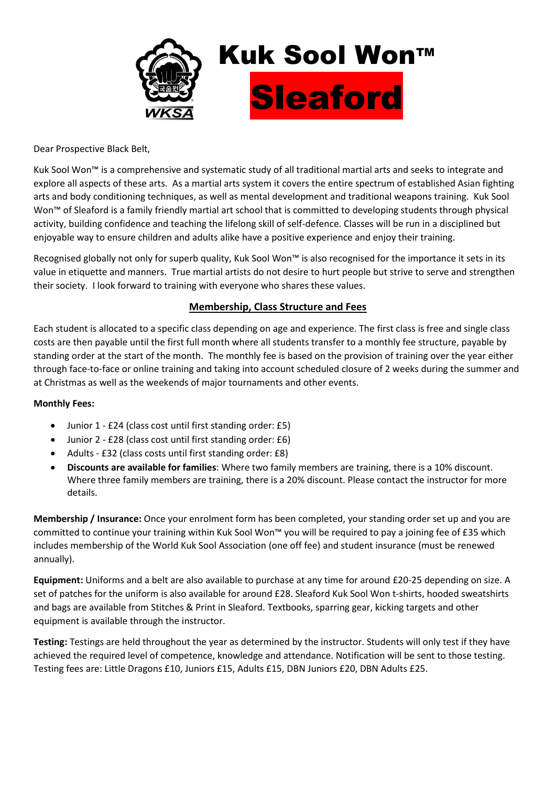

Dear Prospective Black Belt,

Kuk Sool Won™ is a comprehensive and systematic study of all traditional martial arts and seeks to integrate and explore all aspects of these arts. As a martial arts system it covers the entire spectrum of established Asian fighting arts and body conditioning techniques, as well as mental development and traditional weapons training. Kuk Sool Won<sup>™</sup> of Sleaford is a family friendly martial art school that is committed to developing students through physical activity, building confidence and teaching the lifelong skill of self-defence. Classes will be run in a disciplined but enjoyable way to ensure children and adults alike have a positive experience and enjoy their training.

Recognised globally not only for superb quality, Kuk Sool Won™ is also recognised for the importance it sets in its value in etiquette and manners. True martial artists do not desire to hurt people but strive to serve and strengthen their society. I look forward to training with everyone who shares these values.

# **Membership, Class Structure and Fees**

Each student is allocated to a specific class depending on age and experience. The first class is free and single class costs are then payable until the first full month where all students transfer to a monthly fee structure, payable by standing order at the start of the month. The monthly fee is based on the provision of training over the year either through face-to-face or online training and taking into account scheduled closure of 2 weeks during the summer and at Christmas as well as the weekends of major tournaments and other events.

## **Monthly Fees:**

- Junior 1 £24 (class cost until first standing order: £5)
- Junior 2 £28 (class cost until first standing order: £6)
- Adults £32 (class costs until first standing order: £8)
- **Discounts are available for families**: Where two family members are training, there is a 10% discount. Where three family members are training, there is a 20% discount. Please contact the instructor for more details.

**Membership / Insurance:** Once your enrolment form has been completed, your standing order set up and you are committed to continue your training within Kuk Sool Won™ you will be required to pay a joining fee of £35 which includes membership of the World Kuk Sool Association (one off fee) and student insurance (must be renewed annually).

**Equipment:** Uniforms and a belt are also available to purchase at any time for around £20-25 depending on size. A set of patches for the uniform is also available for around £28. Sleaford Kuk Sool Won t-shirts, hooded sweatshirts and bags are available from Stitches & Print in Sleaford. Textbooks, sparring gear, kicking targets and other equipment is available through the instructor.

**Testing:** Testings are held throughout the year as determined by the instructor. Students will only test if they have achieved the required level of competence, knowledge and attendance. Notification will be sent to those testing. Testing fees are: Little Dragons £10, Juniors £15, Adults £15, DBN Juniors £20, DBN Adults £25.